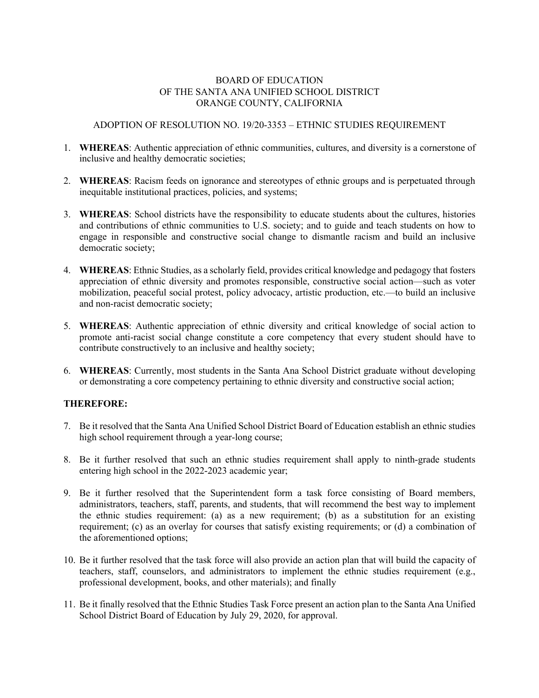## BOARD OF EDUCATION OF THE SANTA ANA UNIFIED SCHOOL DISTRICT ORANGE COUNTY, CALIFORNIA

## ADOPTION OF RESOLUTION NO. 19/20-3353 – ETHNIC STUDIES REQUIREMENT

- 1. **WHEREAS**: Authentic appreciation of ethnic communities, cultures, and diversity is a cornerstone of inclusive and healthy democratic societies;
- 2. **WHEREAS**: Racism feeds on ignorance and stereotypes of ethnic groups and is perpetuated through inequitable institutional practices, policies, and systems;
- 3. **WHEREAS**: School districts have the responsibility to educate students about the cultures, histories and contributions of ethnic communities to U.S. society; and to guide and teach students on how to engage in responsible and constructive social change to dismantle racism and build an inclusive democratic society;
- 4. **WHEREAS**: Ethnic Studies, as a scholarly field, provides critical knowledge and pedagogy that fosters appreciation of ethnic diversity and promotes responsible, constructive social action—such as voter mobilization, peaceful social protest, policy advocacy, artistic production, etc.—to build an inclusive and non-racist democratic society;
- 5. **WHEREAS**: Authentic appreciation of ethnic diversity and critical knowledge of social action to promote anti-racist social change constitute a core competency that every student should have to contribute constructively to an inclusive and healthy society;
- 6. **WHEREAS**: Currently, most students in the Santa Ana School District graduate without developing or demonstrating a core competency pertaining to ethnic diversity and constructive social action;

## **THEREFORE:**

- 7. Be it resolved that the Santa Ana Unified School District Board of Education establish an ethnic studies high school requirement through a year-long course;
- 8. Be it further resolved that such an ethnic studies requirement shall apply to ninth-grade students entering high school in the 2022-2023 academic year;
- 9. Be it further resolved that the Superintendent form a task force consisting of Board members, administrators, teachers, staff, parents, and students, that will recommend the best way to implement the ethnic studies requirement: (a) as a new requirement; (b) as a substitution for an existing requirement; (c) as an overlay for courses that satisfy existing requirements; or (d) a combination of the aforementioned options;
- 10. Be it further resolved that the task force will also provide an action plan that will build the capacity of teachers, staff, counselors, and administrators to implement the ethnic studies requirement (e.g., professional development, books, and other materials); and finally
- 11. Be it finally resolved that the Ethnic Studies Task Force present an action plan to the Santa Ana Unified School District Board of Education by July 29, 2020, for approval.